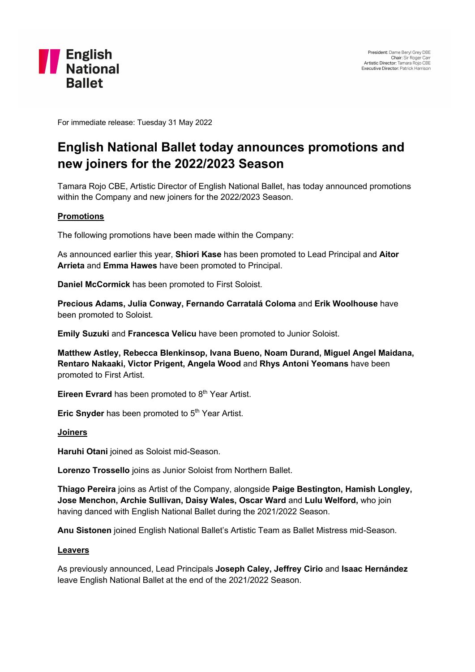

For immediate release: Tuesday 31 May 2022

# **English National Ballet today announces promotions and new joiners for the 2022/2023 Season**

Tamara Rojo CBE, Artistic Director of English National Ballet, has today announced promotions within the Company and new joiners for the 2022/2023 Season.

### **Promotions**

The following promotions have been made within the Company:

As announced earlier this year, **Shiori Kase** has been promoted to Lead Principal and **Aitor Arrieta** and **Emma Hawes** have been promoted to Principal.

**Daniel McCormick** has been promoted to First Soloist.

**Precious Adams, Julia Conway, Fernando Carratalá Coloma** and **Erik Woolhouse** have been promoted to Soloist.

**Emily Suzuki** and **Francesca Velicu** have been promoted to Junior Soloist.

**Matthew Astley, Rebecca Blenkinsop, Ivana Bueno, Noam Durand, Miguel Angel Maidana, Rentaro Nakaaki, Victor Prigent, Angela Wood** and **Rhys Antoni Yeomans** have been promoted to First Artist.

**Eireen Evrard** has been promoted to 8<sup>th</sup> Year Artist.

**Eric Snyder** has been promoted to 5<sup>th</sup> Year Artist.

### **Joiners**

**Haruhi Otani** joined as Soloist mid-Season.

**Lorenzo Trossello** joins as Junior Soloist from Northern Ballet.

**Thiago Pereira** joins as Artist of the Company, alongside **Paige Bestington, Hamish Longley, Jose Menchon, Archie Sullivan, Daisy Wales, Oscar Ward** and **Lulu Welford,** who join having danced with English National Ballet during the 2021/2022 Season.

**Anu Sistonen** joined English National Ballet's Artistic Team as Ballet Mistress mid-Season.

### **Leavers**

As previously announced, Lead Principals **Joseph Caley, Jeffrey Cirio** and **Isaac Hernández** leave English National Ballet at the end of the 2021/2022 Season.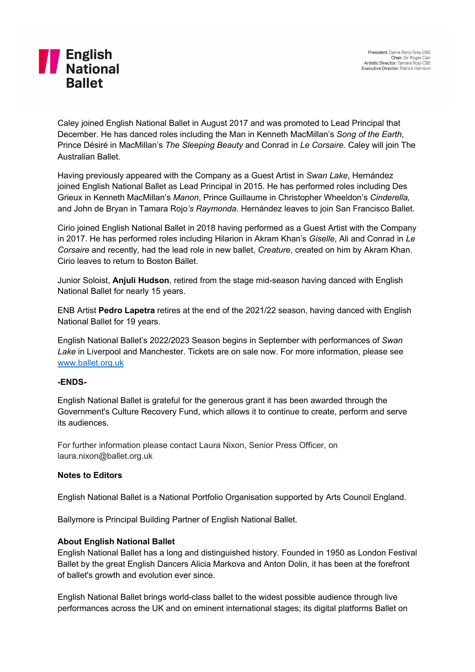# **THE English**<br>
National **Ballet**

Caley joined English National Ballet in August 2017 and was promoted to Lead Principal that December. He has danced roles including the Man in Kenneth MacMillan's *Song of the Earth*, Prince Désiré in MacMillan's *The Sleeping Beauty* and Conrad in *Le Corsaire.* Caley will join The Australian Ballet.

Having previously appeared with the Company as a Guest Artist in *Swan Lake*, Hernández joined English National Ballet as Lead Principal in 2015. He has performed roles including Des Grieux in Kenneth MacMillan's *Manon*, Prince Guillaume in Christopher Wheeldon's *Cinderella,*  and John de Bryan in Tamara Rojo*'s Raymonda*. Hernández leaves to join San Francisco Ballet.

Cirio joined English National Ballet in 2018 having performed as a Guest Artist with the Company in 2017. He has performed roles including Hilarion in Akram Khan's *Giselle*, Ali and Conrad in *Le Corsaire* and recently*,* had the lead role in new ballet, *Creature*, created on him by Akram Khan. Cirio leaves to return to Boston Ballet.

Junior Soloist, **Anjuli Hudson**, retired from the stage mid-season having danced with English National Ballet for nearly 15 years.

ENB Artist **Pedro Lapetra** retires at the end of the 2021/22 season, having danced with English National Ballet for 19 years.

English National Ballet's 2022/2023 Season begins in September with performances of *Swan Lake* in Liverpool and Manchester. Tickets are on sale now. For more information, please see www.ballet.org.uk

### **-ENDS-**

English National Ballet is grateful for the generous grant it has been awarded through the Government's Culture Recovery Fund, which allows it to continue to create, perform and serve its audiences.

For further information please contact Laura Nixon, Senior Press Officer, on laura.nixon@ballet.org.uk

### **Notes to Editors**

English National Ballet is a National Portfolio Organisation supported by Arts Council England.

Ballymore is Principal Building Partner of English National Ballet.

## **About English National Ballet**

English National Ballet has a long and distinguished history. Founded in 1950 as London Festival Ballet by the great English Dancers Alicia Markova and Anton Dolin, it has been at the forefront of ballet's growth and evolution ever since.

English National Ballet brings world-class ballet to the widest possible audience through live performances across the UK and on eminent international stages; its digital platforms Ballet on